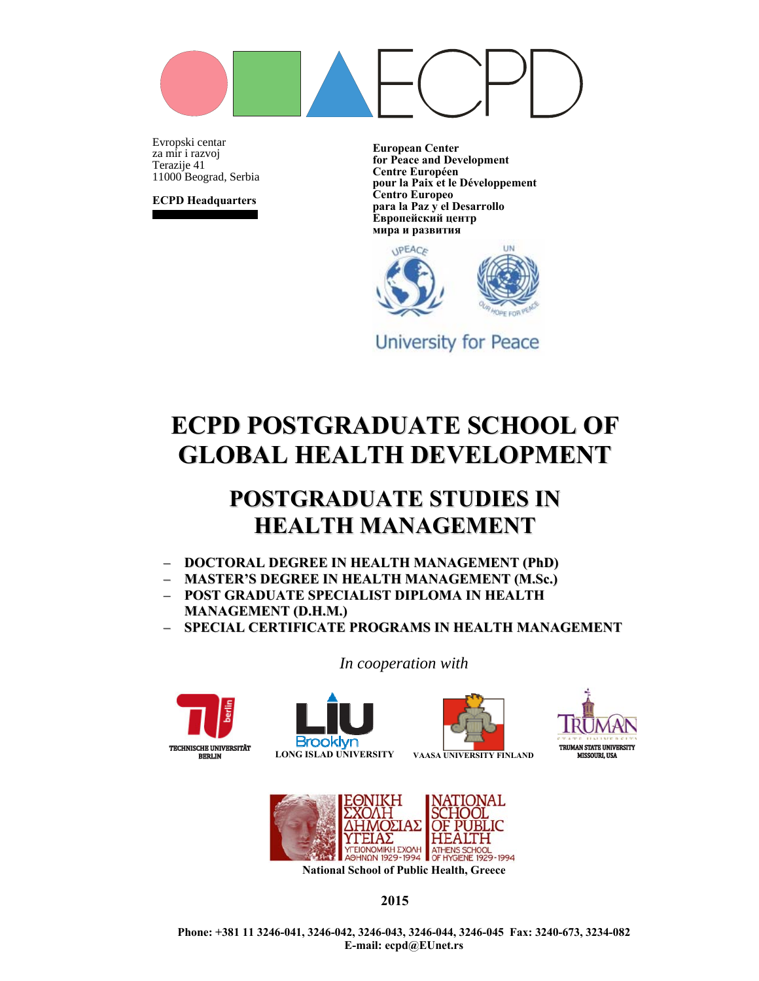

Evropski centarza mir i razvoj Terazije 41 11000 Beograd, Serbia

**ECPD Headquarters**

**European Center for Peace and Development Centre Européen pour la Paix et le Développement Centro Europeo para la Paz y el Desarrollo Европейский центр мира и развития**



**University for Peace** 

# **ECPD POSTGRADUATE SCHOOL OF GLOBAL HEALTH DEVELOPMENT**

## **POSTGRADUATE STUDIES IN HEALTH MANAGEMENT**

- **DOCTORAL DEGREE IN HEALTH MANAGEMENT (PhD)**
- **MASTER'S DEGREE IN HEALTH MANAGEMENT (M.Sc.)**
- **POST GRADUATE SPECIALIST DIPLOMA IN HEALTH MANAGEMENT (D.H.M.)**
- **SPECIAL CERTIFICATE PROGRAMS IN HEALTH MANAGEMENT**

*In cooperation with*











**National School of Public Health, Greece** 

**2015** 

**Phone: +381 11 3246-041, 3246-042, 3246-043, 3246-044, 3246-045 Fax: 3240-673, 3234-082 E-mail: ecpd@EUnet.rs**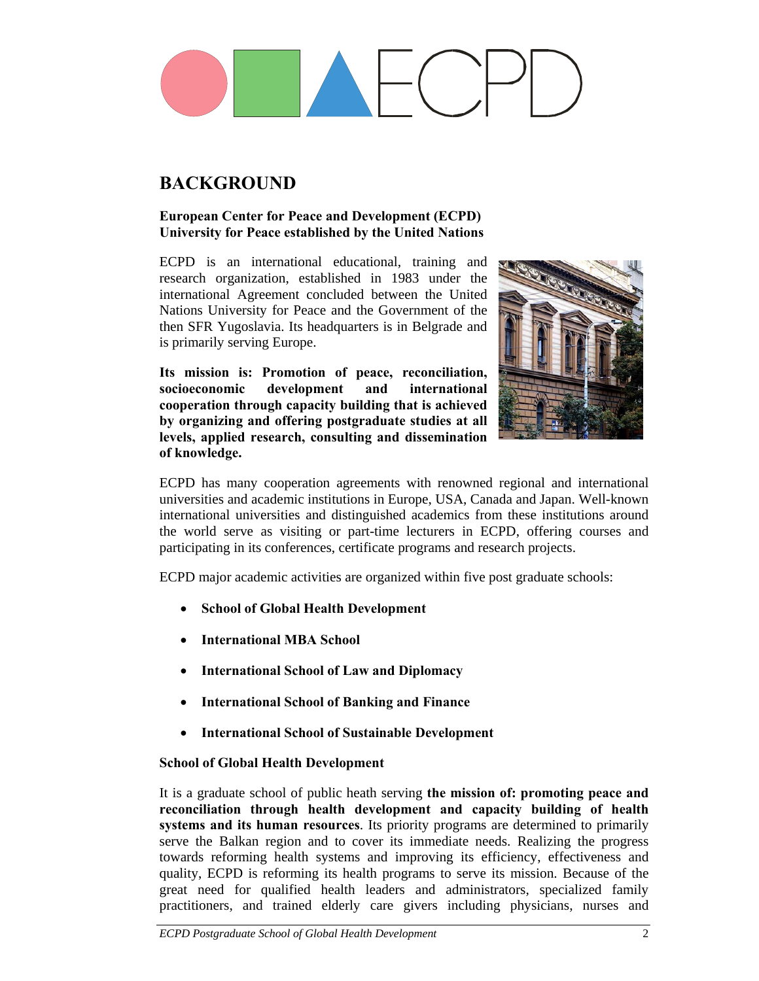## **BACKGROUND**

#### **European Center for Peace and Development (ECPD) University for Peace established by the United Nations**

ECPD is an international educational, training and research organization, established in 1983 under the international Agreement concluded between the United Nations University for Peace and the Government of the then SFR Yugoslavia. Its headquarters is in Belgrade and is primarily serving Europe.

**Its mission is: Promotion of peace, reconciliation, socioeconomic development and international cooperation through capacity building that is achieved by organizing and offering postgraduate studies at all levels, applied research, consulting and dissemination of knowledge.** 



ECPD has many cooperation agreements with renowned regional and international universities and academic institutions in Europe, USA, Canada and Japan. Well-known international universities and distinguished academics from these institutions around the world serve as visiting or part-time lecturers in ECPD, offering courses and participating in its conferences, certificate programs and research projects.

ECPD major academic activities are organized within five post graduate schools:

- **School of Global Health Development**
- **International MBA School**
- **International School of Law and Diplomacy**
- **International School of Banking and Finance**
- **International School of Sustainable Development**

#### **School of Global Health Development**

It is a graduate school of public heath serving **the mission of: promoting peace and reconciliation through health development and capacity building of health systems and its human resources**. Its priority programs are determined to primarily serve the Balkan region and to cover its immediate needs. Realizing the progress towards reforming health systems and improving its efficiency, effectiveness and quality, ECPD is reforming its health programs to serve its mission. Because of the great need for qualified health leaders and administrators, specialized family practitioners, and trained elderly care givers including physicians, nurses and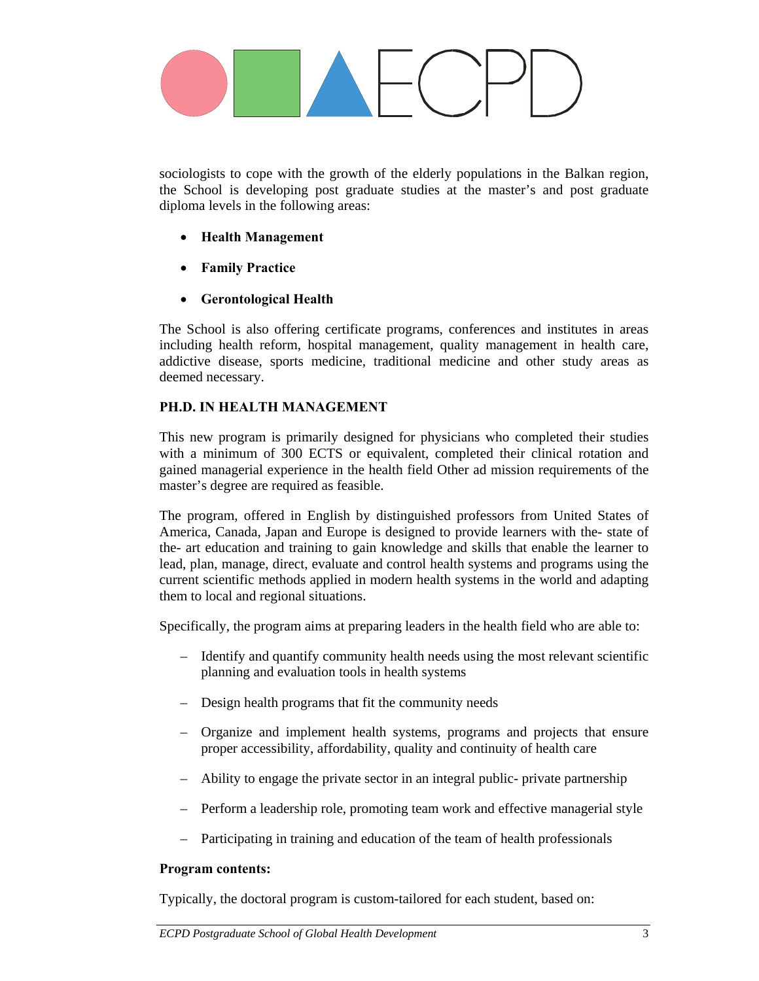

sociologists to cope with the growth of the elderly populations in the Balkan region, the School is developing post graduate studies at the master's and post graduate diploma levels in the following areas:

- **Health Management**
- **Family Practice**
- **Gerontological Health**

The School is also offering certificate programs, conferences and institutes in areas including health reform, hospital management, quality management in health care, addictive disease, sports medicine, traditional medicine and other study areas as deemed necessary.

### **PH.D. IN HEALTH MANAGEMENT**

This new program is primarily designed for physicians who completed their studies with a minimum of 300 ECTS or equivalent, completed their clinical rotation and gained managerial experience in the health field Other ad mission requirements of the master's degree are required as feasible.

The program, offered in English by distinguished professors from United States of America, Canada, Japan and Europe is designed to provide learners with the- state of the- art education and training to gain knowledge and skills that enable the learner to lead, plan, manage, direct, evaluate and control health systems and programs using the current scientific methods applied in modern health systems in the world and adapting them to local and regional situations.

Specifically, the program aims at preparing leaders in the health field who are able to:

- Identify and quantify community health needs using the most relevant scientific planning and evaluation tools in health systems
- Design health programs that fit the community needs
- Organize and implement health systems, programs and projects that ensure proper accessibility, affordability, quality and continuity of health care
- Ability to engage the private sector in an integral public- private partnership
- Perform a leadership role, promoting team work and effective managerial style
- Participating in training and education of the team of health professionals

#### **Program contents:**

Typically, the doctoral program is custom-tailored for each student, based on: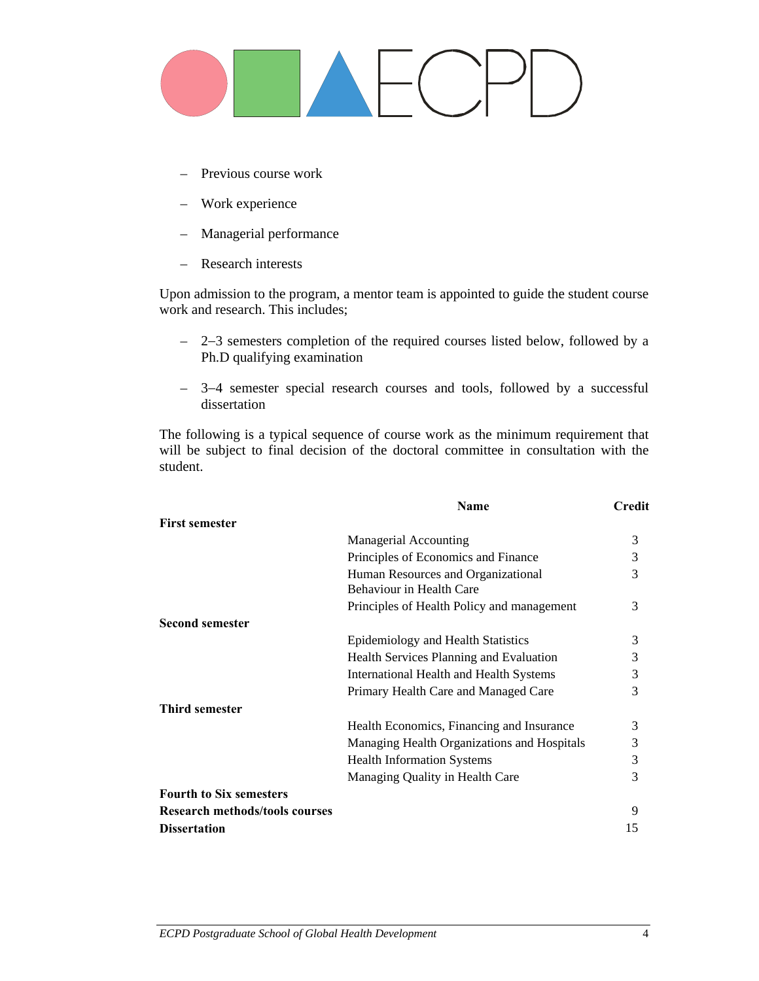- Previous course work
- Work experience
- Managerial performance
- Research interests

Upon admission to the program, a mentor team is appointed to guide the student course work and research. This includes;

- 2−3 semesters completion of the required courses listed below, followed by a Ph.D qualifying examination
- 3−4 semester special research courses and tools, followed by a successful dissertation

The following is a typical sequence of course work as the minimum requirement that will be subject to final decision of the doctoral committee in consultation with the student.

|                                       | <b>Name</b>                                                                                                                                                                                                                                                                                    |    |  |  |
|---------------------------------------|------------------------------------------------------------------------------------------------------------------------------------------------------------------------------------------------------------------------------------------------------------------------------------------------|----|--|--|
| <b>First semester</b>                 |                                                                                                                                                                                                                                                                                                |    |  |  |
|                                       | <b>Managerial Accounting</b>                                                                                                                                                                                                                                                                   | 3  |  |  |
|                                       | Principles of Economics and Finance                                                                                                                                                                                                                                                            | 3  |  |  |
|                                       | Human Resources and Organizational<br>Behaviour in Health Care                                                                                                                                                                                                                                 | 3  |  |  |
|                                       | Principles of Health Policy and management                                                                                                                                                                                                                                                     | 3  |  |  |
| <b>Second semester</b>                |                                                                                                                                                                                                                                                                                                |    |  |  |
|                                       | Epidemiology and Health Statistics                                                                                                                                                                                                                                                             | 3  |  |  |
|                                       | Health Services Planning and Evaluation<br>International Health and Health Systems<br>Primary Health Care and Managed Care<br>Health Economics, Financing and Insurance<br>Managing Health Organizations and Hospitals<br><b>Health Information Systems</b><br>Managing Quality in Health Care |    |  |  |
|                                       |                                                                                                                                                                                                                                                                                                | 3  |  |  |
|                                       |                                                                                                                                                                                                                                                                                                | 3  |  |  |
| <b>Third semester</b>                 |                                                                                                                                                                                                                                                                                                |    |  |  |
|                                       |                                                                                                                                                                                                                                                                                                | 3  |  |  |
|                                       |                                                                                                                                                                                                                                                                                                | 3  |  |  |
|                                       |                                                                                                                                                                                                                                                                                                | 3  |  |  |
|                                       |                                                                                                                                                                                                                                                                                                | 3  |  |  |
| <b>Fourth to Six semesters</b>        |                                                                                                                                                                                                                                                                                                |    |  |  |
| <b>Research methods/tools courses</b> |                                                                                                                                                                                                                                                                                                | 9  |  |  |
| <b>Dissertation</b>                   |                                                                                                                                                                                                                                                                                                | 15 |  |  |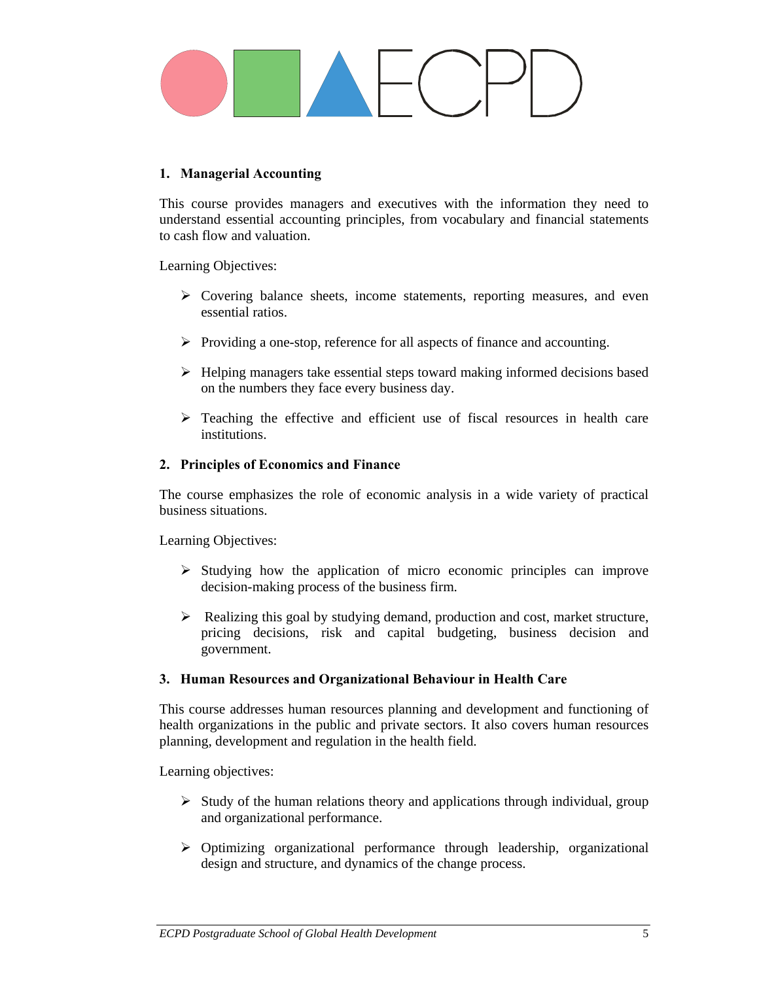

#### **1. Managerial Accounting**

This course provides managers and executives with the information they need to understand essential accounting principles, from vocabulary and financial statements to cash flow and valuation.

Learning Objectives:

- $\triangleright$  Covering balance sheets, income statements, reporting measures, and even essential ratios.
- ¾ Providing a one-stop, reference for all aspects of finance and accounting.
- $\triangleright$  Helping managers take essential steps toward making informed decisions based on the numbers they face every business day.
- $\triangleright$  Teaching the effective and efficient use of fiscal resources in health care institutions.

#### **2. Principles of Economics and Finance**

The course emphasizes the role of economic analysis in a wide variety of practical business situations.

Learning Objectives:

- $\triangleright$  Studying how the application of micro economic principles can improve decision-making process of the business firm.
- $\triangleright$  Realizing this goal by studying demand, production and cost, market structure, pricing decisions, risk and capital budgeting, business decision and government.

#### **3. Human Resources and Organizational Behaviour in Health Care**

This course addresses human resources planning and development and functioning of health organizations in the public and private sectors. It also covers human resources planning, development and regulation in the health field.

Learning objectives:

- $\triangleright$  Study of the human relations theory and applications through individual, group and organizational performance.
- $\triangleright$  Optimizing organizational performance through leadership, organizational design and structure, and dynamics of the change process.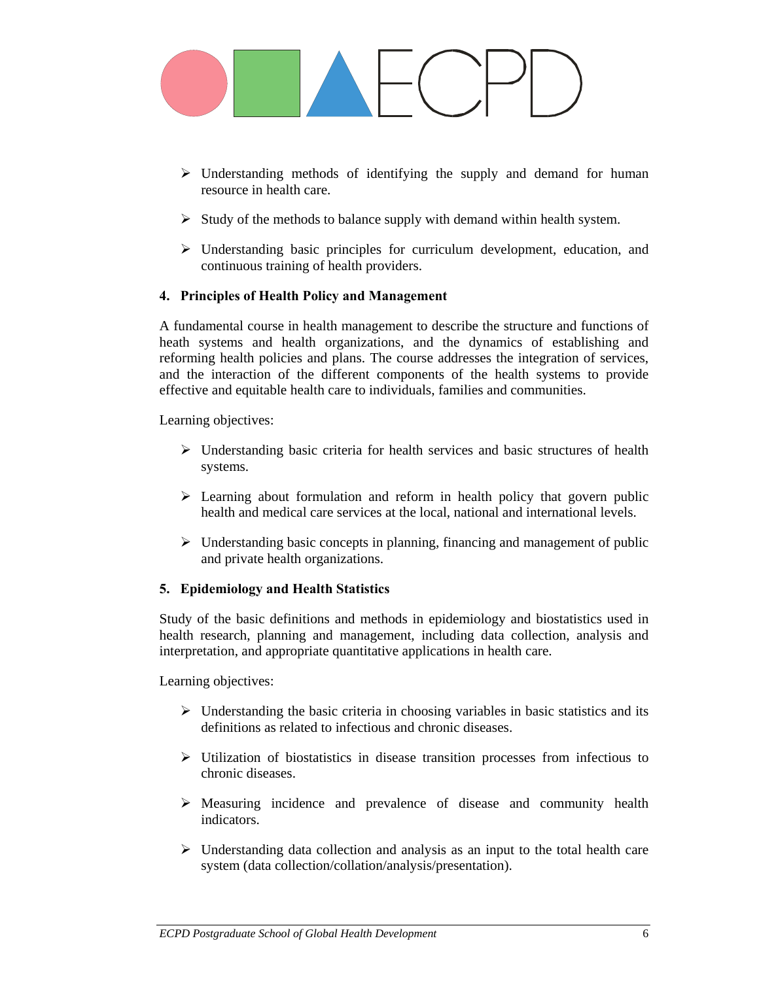

- $\triangleright$  Understanding methods of identifying the supply and demand for human resource in health care.
- $\triangleright$  Study of the methods to balance supply with demand within health system.
- $\triangleright$  Understanding basic principles for curriculum development, education, and continuous training of health providers.

#### **4. Principles of Health Policy and Management**

A fundamental course in health management to describe the structure and functions of heath systems and health organizations, and the dynamics of establishing and reforming health policies and plans. The course addresses the integration of services, and the interaction of the different components of the health systems to provide effective and equitable health care to individuals, families and communities.

Learning objectives:

- $\triangleright$  Understanding basic criteria for health services and basic structures of health systems.
- $\triangleright$  Learning about formulation and reform in health policy that govern public health and medical care services at the local, national and international levels.
- $\triangleright$  Understanding basic concepts in planning, financing and management of public and private health organizations.

### **5. Epidemiology and Health Statistics**

Study of the basic definitions and methods in epidemiology and biostatistics used in health research, planning and management, including data collection, analysis and interpretation, and appropriate quantitative applications in health care.

Learning objectives:

- $\triangleright$  Understanding the basic criteria in choosing variables in basic statistics and its definitions as related to infectious and chronic diseases.
- $\triangleright$  Utilization of biostatistics in disease transition processes from infectious to chronic diseases.
- ¾ Measuring incidence and prevalence of disease and community health indicators.
- $\triangleright$  Understanding data collection and analysis as an input to the total health care system (data collection/collation/analysis/presentation).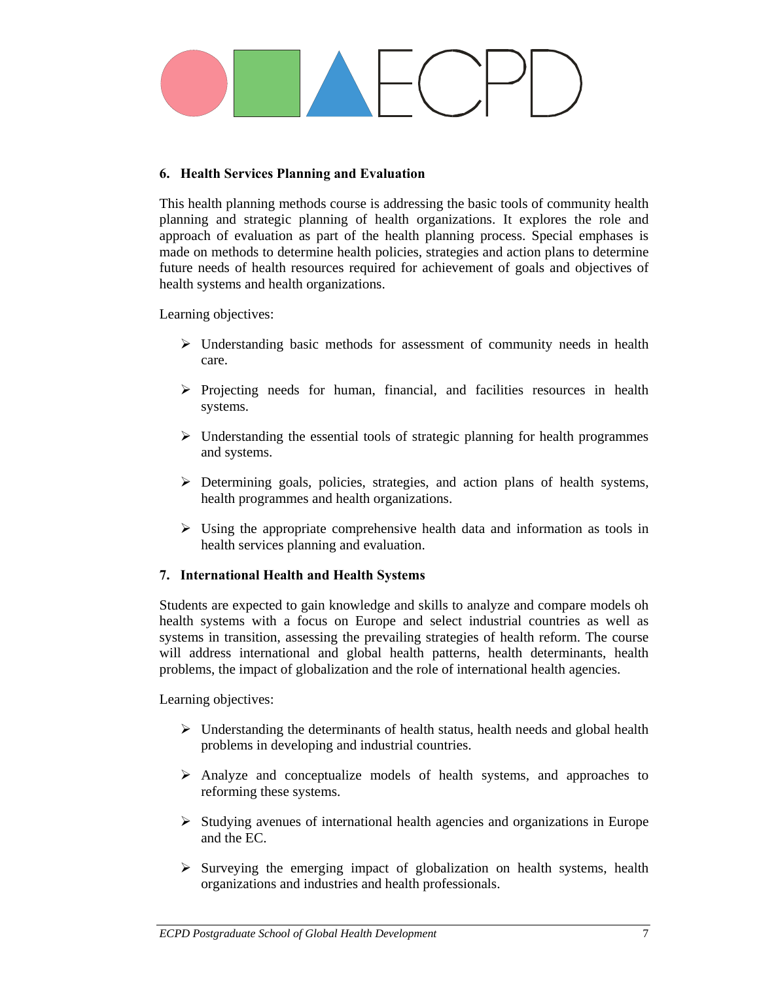

### **6. Health Services Planning and Evaluation**

This health planning methods course is addressing the basic tools of community health planning and strategic planning of health organizations. It explores the role and approach of evaluation as part of the health planning process. Special emphases is made on methods to determine health policies, strategies and action plans to determine future needs of health resources required for achievement of goals and objectives of health systems and health organizations.

Learning objectives:

- $\triangleright$  Understanding basic methods for assessment of community needs in health care.
- $\triangleright$  Projecting needs for human, financial, and facilities resources in health systems.
- $\triangleright$  Understanding the essential tools of strategic planning for health programmes and systems.
- $\triangleright$  Determining goals, policies, strategies, and action plans of health systems, health programmes and health organizations.
- $\triangleright$  Using the appropriate comprehensive health data and information as tools in health services planning and evaluation.

#### **7. International Health and Health Systems**

Students are expected to gain knowledge and skills to analyze and compare models oh health systems with a focus on Europe and select industrial countries as well as systems in transition, assessing the prevailing strategies of health reform. The course will address international and global health patterns, health determinants, health problems, the impact of globalization and the role of international health agencies.

Learning objectives:

- $\triangleright$  Understanding the determinants of health status, health needs and global health problems in developing and industrial countries.
- ¾ Analyze and conceptualize models of health systems, and approaches to reforming these systems.
- $\triangleright$  Studying avenues of international health agencies and organizations in Europe and the EC.
- $\triangleright$  Surveying the emerging impact of globalization on health systems, health organizations and industries and health professionals.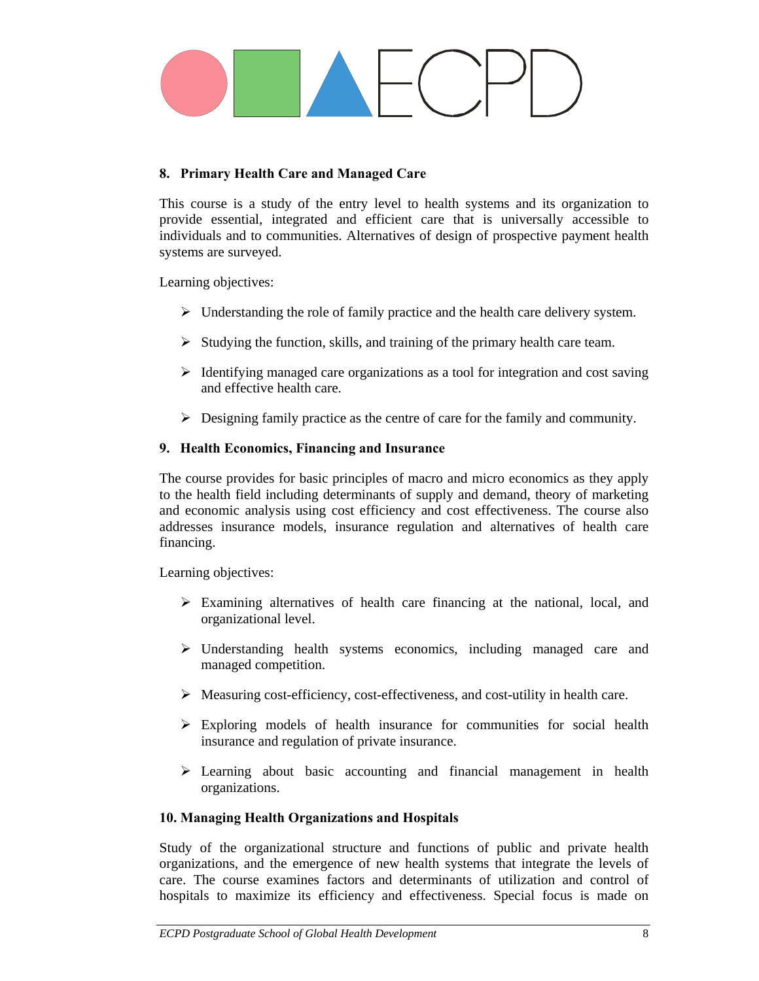

### **8. Primary Health Care and Managed Care**

This course is a study of the entry level to health systems and its organization to provide essential, integrated and efficient care that is universally accessible to individuals and to communities. Alternatives of design of prospective payment health systems are surveyed.

Learning objectives:

- $\triangleright$  Understanding the role of family practice and the health care delivery system.
- $\triangleright$  Studying the function, skills, and training of the primary health care team.
- $\triangleright$  Identifying managed care organizations as a tool for integration and cost saving and effective health care.
- $\triangleright$  Designing family practice as the centre of care for the family and community.

#### **9. Health Economics, Financing and Insurance**

The course provides for basic principles of macro and micro economics as they apply to the health field including determinants of supply and demand, theory of marketing and economic analysis using cost efficiency and cost effectiveness. The course also addresses insurance models, insurance regulation and alternatives of health care financing.

Learning objectives:

- $\triangleright$  Examining alternatives of health care financing at the national, local, and organizational level.
- $\triangleright$  Understanding health systems economics, including managed care and managed competition.
- ¾ Measuring cost-efficiency, cost-effectiveness, and cost-utility in health care.
- $\triangleright$  Exploring models of health insurance for communities for social health insurance and regulation of private insurance.
- $\triangleright$  Learning about basic accounting and financial management in health organizations.

#### **10. Managing Health Organizations and Hospitals**

Study of the organizational structure and functions of public and private health organizations, and the emergence of new health systems that integrate the levels of care. The course examines factors and determinants of utilization and control of hospitals to maximize its efficiency and effectiveness. Special focus is made on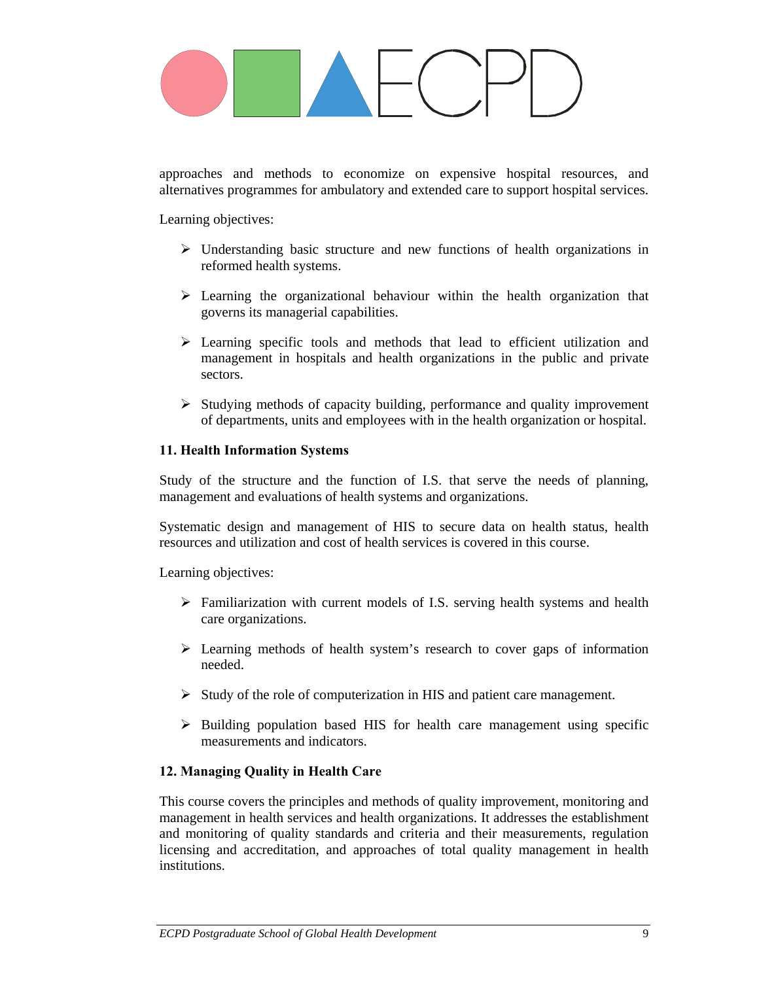approaches and methods to economize on expensive hospital resources, and alternatives programmes for ambulatory and extended care to support hospital services.

Learning objectives:

- $\triangleright$  Understanding basic structure and new functions of health organizations in reformed health systems.
- $\triangleright$  Learning the organizational behaviour within the health organization that governs its managerial capabilities.
- $\triangleright$  Learning specific tools and methods that lead to efficient utilization and management in hospitals and health organizations in the public and private sectors.
- $\triangleright$  Studying methods of capacity building, performance and quality improvement of departments, units and employees with in the health organization or hospital.

#### **11. Health Information Systems**

Study of the structure and the function of I.S. that serve the needs of planning, management and evaluations of health systems and organizations.

Systematic design and management of HIS to secure data on health status, health resources and utilization and cost of health services is covered in this course.

Learning objectives:

- $\triangleright$  Familiarization with current models of I.S. serving health systems and health care organizations.
- $\triangleright$  Learning methods of health system's research to cover gaps of information needed.
- $\triangleright$  Study of the role of computerization in HIS and patient care management.
- $\triangleright$  Building population based HIS for health care management using specific measurements and indicators.

#### **12. Managing Quality in Health Care**

This course covers the principles and methods of quality improvement, monitoring and management in health services and health organizations. It addresses the establishment and monitoring of quality standards and criteria and their measurements, regulation licensing and accreditation, and approaches of total quality management in health institutions.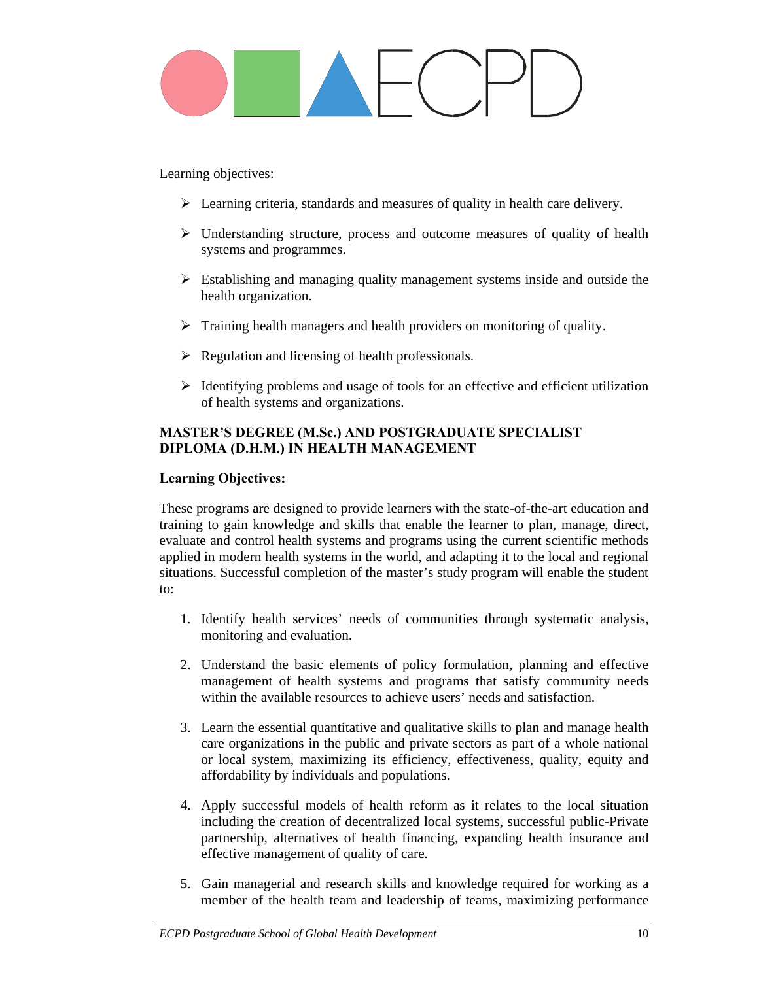Learning objectives:

- $\triangleright$  Learning criteria, standards and measures of quality in health care delivery.
- $\triangleright$  Understanding structure, process and outcome measures of quality of health systems and programmes.
- $\triangleright$  Establishing and managing quality management systems inside and outside the health organization.
- $\triangleright$  Training health managers and health providers on monitoring of quality.
- $\triangleright$  Regulation and licensing of health professionals.
- $\triangleright$  Identifying problems and usage of tools for an effective and efficient utilization of health systems and organizations.

### **MASTER'S DEGREE (M.Sc.) AND POSTGRADUATE SPECIALIST DIPLOMA (D.H.M.) IN HEALTH MANAGEMENT**

### **Learning Objectives:**

These programs are designed to provide learners with the state-of-the-art education and training to gain knowledge and skills that enable the learner to plan, manage, direct, evaluate and control health systems and programs using the current scientific methods applied in modern health systems in the world, and adapting it to the local and regional situations. Successful completion of the master's study program will enable the student to:

- 1. Identify health services' needs of communities through systematic analysis, monitoring and evaluation.
- 2. Understand the basic elements of policy formulation, planning and effective management of health systems and programs that satisfy community needs within the available resources to achieve users' needs and satisfaction.
- 3. Learn the essential quantitative and qualitative skills to plan and manage health care organizations in the public and private sectors as part of a whole national or local system, maximizing its efficiency, effectiveness, quality, equity and affordability by individuals and populations.
- 4. Apply successful models of health reform as it relates to the local situation including the creation of decentralized local systems, successful public-Private partnership, alternatives of health financing, expanding health insurance and effective management of quality of care.
- 5. Gain managerial and research skills and knowledge required for working as a member of the health team and leadership of teams, maximizing performance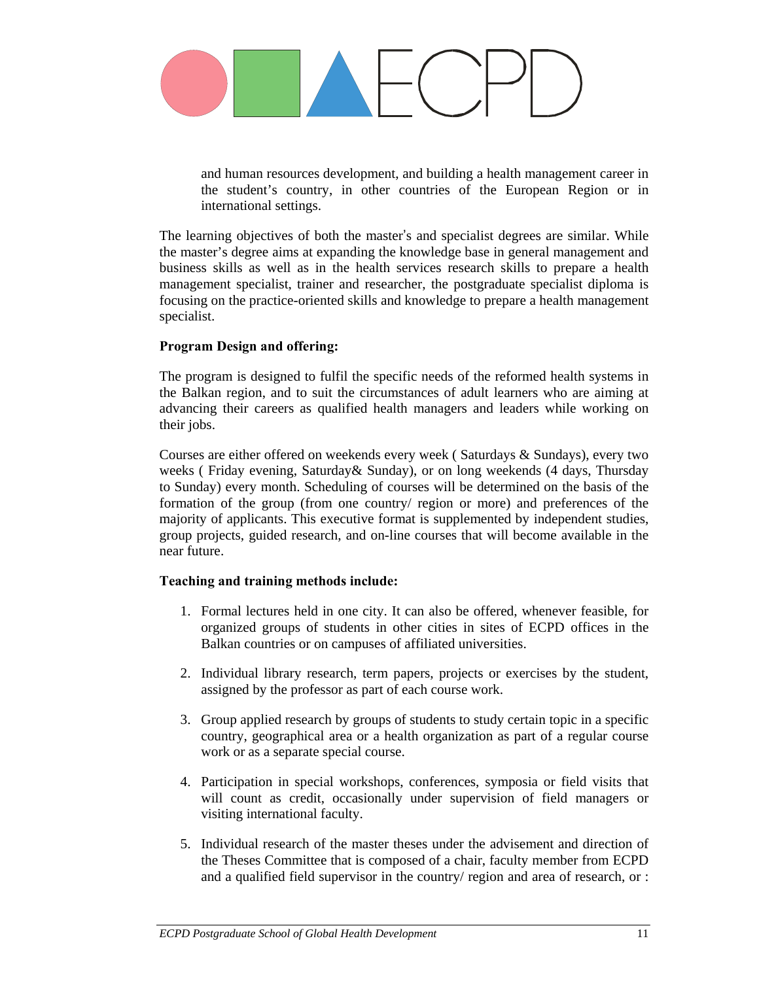

and human resources development, and building a health management career in the student's country, in other countries of the European Region or in international settings.

The learning objectives of both the master's and specialist degrees are similar. While the master's degree aims at expanding the knowledge base in general management and business skills as well as in the health services research skills to prepare a health management specialist, trainer and researcher, the postgraduate specialist diploma is focusing on the practice-oriented skills and knowledge to prepare a health management specialist.

#### **Program Design and offering:**

The program is designed to fulfil the specific needs of the reformed health systems in the Balkan region, and to suit the circumstances of adult learners who are aiming at advancing their careers as qualified health managers and leaders while working on their jobs.

Courses are either offered on weekends every week ( Saturdays & Sundays), every two weeks ( Friday evening, Saturday& Sunday), or on long weekends (4 days, Thursday to Sunday) every month. Scheduling of courses will be determined on the basis of the formation of the group (from one country/ region or more) and preferences of the majority of applicants. This executive format is supplemented by independent studies, group projects, guided research, and on-line courses that will become available in the near future.

#### **Teaching and training methods include:**

- 1. Formal lectures held in one city. It can also be offered, whenever feasible, for organized groups of students in other cities in sites of ECPD offices in the Balkan countries or on campuses of affiliated universities.
- 2. Individual library research, term papers, projects or exercises by the student, assigned by the professor as part of each course work.
- 3. Group applied research by groups of students to study certain topic in a specific country, geographical area or a health organization as part of a regular course work or as a separate special course.
- 4. Participation in special workshops, conferences, symposia or field visits that will count as credit, occasionally under supervision of field managers or visiting international faculty.
- 5. Individual research of the master theses under the advisement and direction of the Theses Committee that is composed of a chair, faculty member from ECPD and a qualified field supervisor in the country/ region and area of research, or :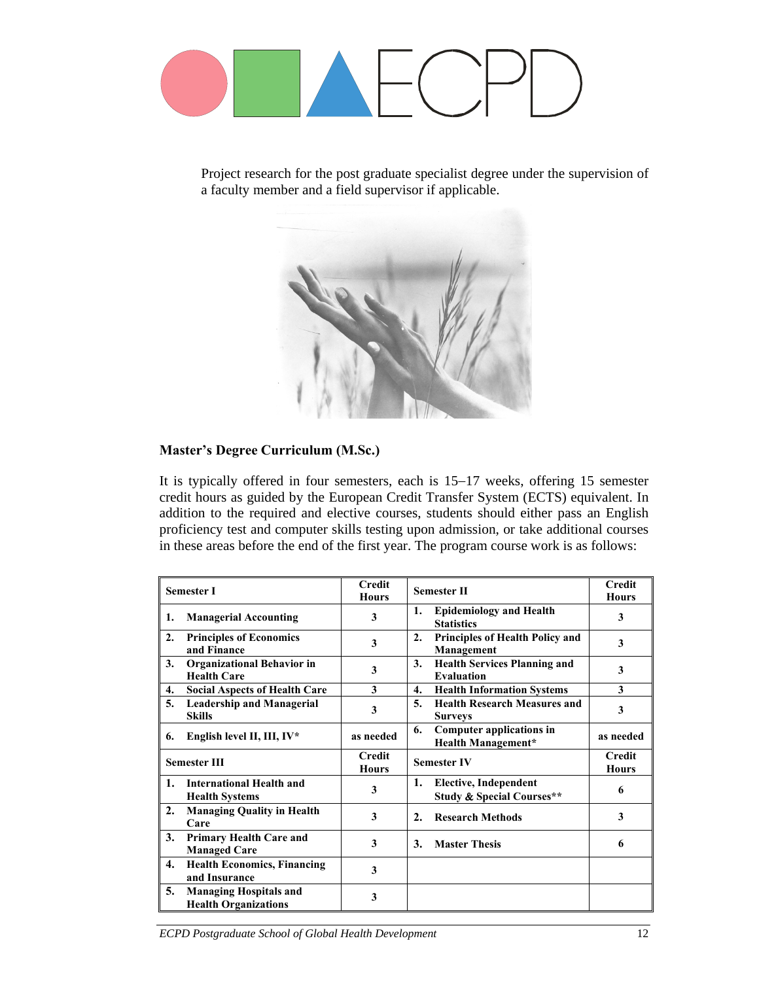

Project research for the post graduate specialist degree under the supervision of a faculty member and a field supervisor if applicable.



### **Master's Degree Curriculum (M.Sc.)**

It is typically offered in four semesters, each is 15−17 weeks, offering 15 semester credit hours as guided by the European Credit Transfer System (ECTS) equivalent. In addition to the required and elective courses, students should either pass an English proficiency test and computer skills testing upon admission, or take additional courses in these areas before the end of the first year. The program course work is as follows:

| <b>Semester I</b>                                                  | <b>Credit</b><br><b>Hours</b> |                  | <b>Semester II</b>                                                   | <b>Credit</b><br><b>Hours</b> |
|--------------------------------------------------------------------|-------------------------------|------------------|----------------------------------------------------------------------|-------------------------------|
| <b>Managerial Accounting</b><br>1.                                 | 3                             | 1.               | <b>Epidemiology and Health</b><br><b>Statistics</b>                  | 3                             |
| 2.<br><b>Principles of Economics</b><br>and Finance                | 3                             | $\overline{2}$ . | Principles of Health Policy and<br>Management                        | 3                             |
| 3.<br><b>Organizational Behavior in</b><br><b>Health Care</b>      | 3                             | 3.               | <b>Health Services Planning and</b><br><b>Evaluation</b>             | 3                             |
| 4.<br><b>Social Aspects of Health Care</b>                         | 3                             | 4.               | <b>Health Information Systems</b>                                    | 3                             |
| 5.<br><b>Leadership and Managerial</b><br><b>Skills</b>            | 3                             | 5.               | <b>Health Research Measures and</b><br><b>Surveys</b>                | 3                             |
| English level II, III, IV*<br>6.                                   | as needed                     | 6.               | <b>Computer applications in</b><br><b>Health Management*</b>         | as needed                     |
| <b>Semester III</b>                                                | <b>Credit</b><br><b>Hours</b> |                  | <b>Semester IV</b>                                                   | <b>Credit</b><br><b>Hours</b> |
| <b>International Health and</b><br>1.<br><b>Health Systems</b>     | 3                             | 1.               | <b>Elective, Independent</b><br><b>Study &amp; Special Courses**</b> | 6                             |
| <b>Managing Quality in Health</b><br>2.<br>Care                    | 3                             | $\overline{2}$ . | <b>Research Methods</b>                                              | 3                             |
| 3.<br><b>Primary Health Care and</b><br><b>Managed Care</b>        | 3                             | 3.               | <b>Master Thesis</b>                                                 | 6                             |
| <b>Health Economics, Financing</b><br>4.<br>and Insurance          | 3                             |                  |                                                                      |                               |
| 5.<br><b>Managing Hospitals and</b><br><b>Health Organizations</b> | 3                             |                  |                                                                      |                               |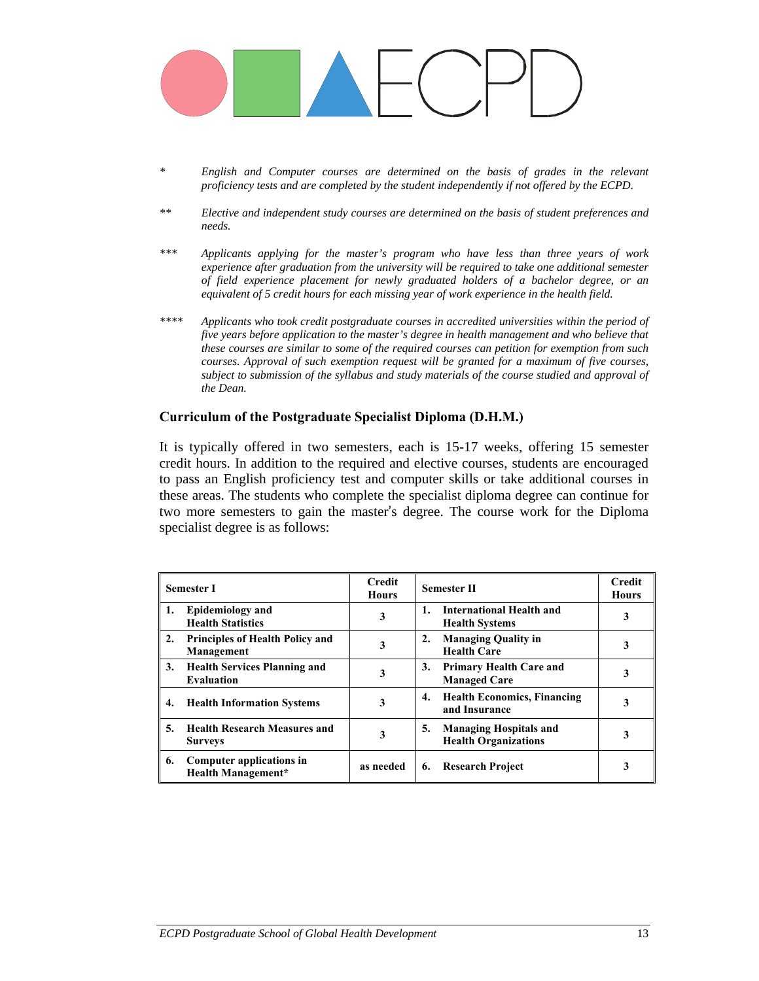

- *\* English and Computer courses are determined on the basis of grades in the relevant proficiency tests and are completed by the student independently if not offered by the ECPD.*
- *\*\* Elective and independent study courses are determined on the basis of student preferences and needs.*
- *\*\*\* Applicants applying for the master's program who have less than three years of work experience after graduation from the university will be required to take one additional semester of field experience placement for newly graduated holders of a bachelor degree, or an equivalent of 5 credit hours for each missing year of work experience in the health field.*
- *\*\*\*\* Applicants who took credit postgraduate courses in accredited universities within the period of five years before application to the master's degree in health management and who believe that these courses are similar to some of the required courses can petition for exemption from such courses. Approval of such exemption request will be granted for a maximum of five courses, subject to submission of the syllabus and study materials of the course studied and approval of the Dean.*

#### **Curriculum of the Postgraduate Specialist Diploma (D.H.M.)**

It is typically offered in two semesters, each is 15-17 weeks, offering 15 semester credit hours. In addition to the required and elective courses, students are encouraged to pass an English proficiency test and computer skills or take additional courses in these areas. The students who complete the specialist diploma degree can continue for two more semesters to gain the master's degree. The course work for the Diploma specialist degree is as follows:

|    | <b>Semester I</b>                                            | Credit<br><b>Hours</b> | <b>Semester II</b>                                                 | <b>Credit</b><br><b>Hours</b> |
|----|--------------------------------------------------------------|------------------------|--------------------------------------------------------------------|-------------------------------|
| 1. | <b>Epidemiology</b> and<br><b>Health Statistics</b>          | 3                      | International Health and<br>1.<br><b>Health Systems</b>            | 3                             |
| 2. | <b>Principles of Health Policy and</b><br>Management         | 3                      | <b>Managing Quality in</b><br>2.<br><b>Health Care</b>             |                               |
| 3. | <b>Health Services Planning and</b><br><b>Evaluation</b>     | 3                      | 3.<br><b>Primary Health Care and</b><br><b>Managed Care</b>        | 3                             |
| 4. | <b>Health Information Systems</b>                            | 3                      | <b>Health Economics, Financing</b><br>4.<br>and Insurance          | 3                             |
| 5. | <b>Health Research Measures and</b><br><b>Surveys</b>        | 3                      | <b>Managing Hospitals and</b><br>5.<br><b>Health Organizations</b> |                               |
| 6. | <b>Computer applications in</b><br><b>Health Management*</b> | as needed              | 6.<br><b>Research Project</b>                                      |                               |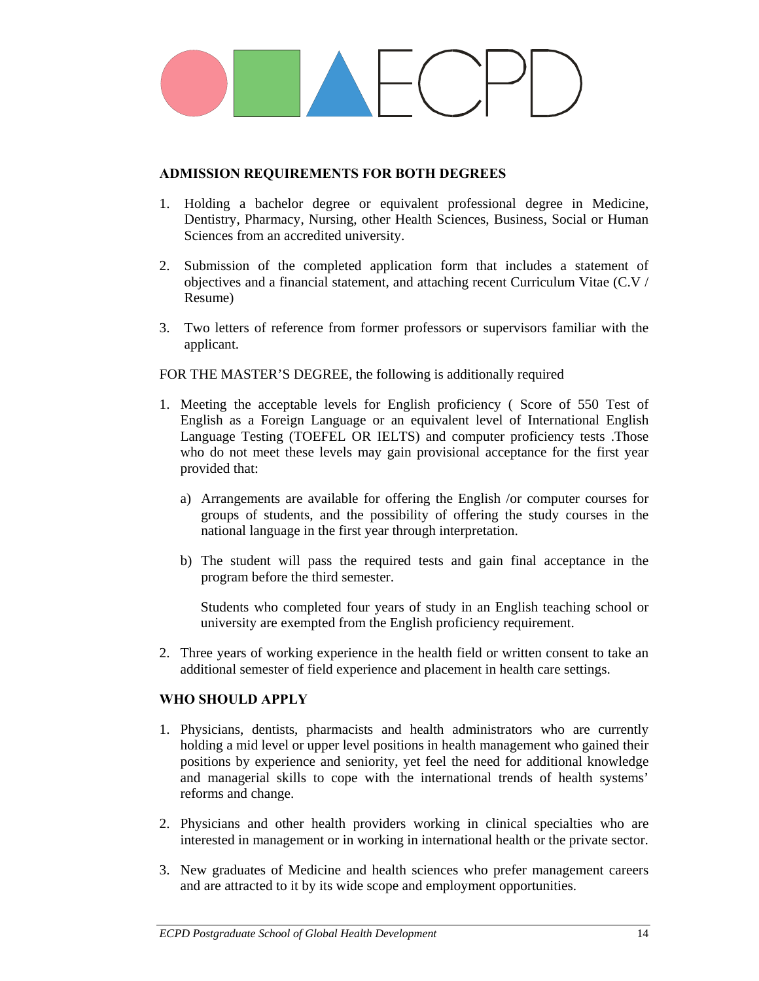

#### **ADMISSION REQUIREMENTS FOR BOTH DEGREES**

- 1. Holding a bachelor degree or equivalent professional degree in Medicine, Dentistry, Pharmacy, Nursing, other Health Sciences, Business, Social or Human Sciences from an accredited university.
- 2. Submission of the completed application form that includes a statement of objectives and a financial statement, and attaching recent Curriculum Vitae (C.V / Resume)
- 3. Two letters of reference from former professors or supervisors familiar with the applicant.

FOR THE MASTER'S DEGREE, the following is additionally required

- 1. Meeting the acceptable levels for English proficiency ( Score of 550 Test of English as a Foreign Language or an equivalent level of International English Language Testing (TOEFEL OR IELTS) and computer proficiency tests .Those who do not meet these levels may gain provisional acceptance for the first year provided that:
	- a) Arrangements are available for offering the English /or computer courses for groups of students, and the possibility of offering the study courses in the national language in the first year through interpretation.
	- b) The student will pass the required tests and gain final acceptance in the program before the third semester.

Students who completed four years of study in an English teaching school or university are exempted from the English proficiency requirement.

2. Three years of working experience in the health field or written consent to take an additional semester of field experience and placement in health care settings.

#### **WHO SHOULD APPLY**

- 1. Physicians, dentists, pharmacists and health administrators who are currently holding a mid level or upper level positions in health management who gained their positions by experience and seniority, yet feel the need for additional knowledge and managerial skills to cope with the international trends of health systems' reforms and change.
- 2. Physicians and other health providers working in clinical specialties who are interested in management or in working in international health or the private sector.
- 3. New graduates of Medicine and health sciences who prefer management careers and are attracted to it by its wide scope and employment opportunities.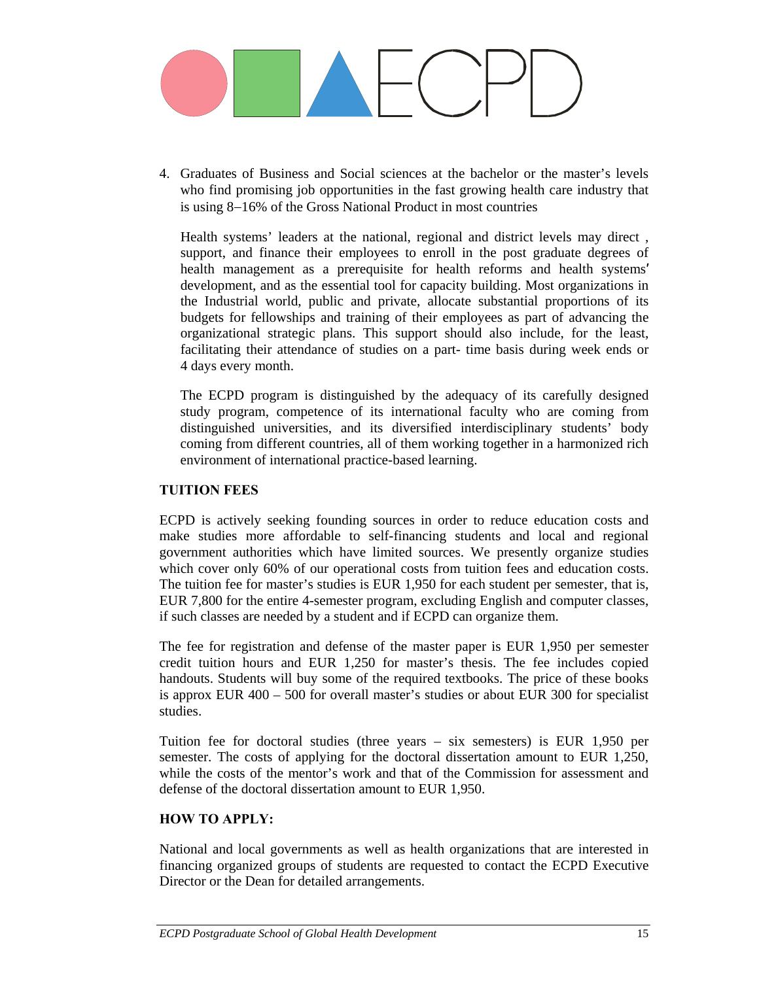

4. Graduates of Business and Social sciences at the bachelor or the master's levels who find promising job opportunities in the fast growing health care industry that is using 8−16% of the Gross National Product in most countries

Health systems' leaders at the national, regional and district levels may direct , support, and finance their employees to enroll in the post graduate degrees of health management as a prerequisite for health reforms and health systems′ development, and as the essential tool for capacity building. Most organizations in the Industrial world, public and private, allocate substantial proportions of its budgets for fellowships and training of their employees as part of advancing the organizational strategic plans. This support should also include, for the least, facilitating their attendance of studies on a part- time basis during week ends or 4 days every month.

The ECPD program is distinguished by the adequacy of its carefully designed study program, competence of its international faculty who are coming from distinguished universities, and its diversified interdisciplinary students' body coming from different countries, all of them working together in a harmonized rich environment of international practice-based learning.

#### **TUITION FEES**

ECPD is actively seeking founding sources in order to reduce education costs and make studies more affordable to self-financing students and local and regional government authorities which have limited sources. We presently organize studies which cover only 60% of our operational costs from tuition fees and education costs. The tuition fee for master's studies is EUR 1,950 for each student per semester, that is, EUR 7,800 for the entire 4-semester program, excluding English and computer classes, if such classes are needed by a student and if ECPD can organize them.

The fee for registration and defense of the master paper is EUR 1,950 per semester credit tuition hours and EUR 1,250 for master's thesis. The fee includes copied handouts. Students will buy some of the required textbooks. The price of these books is approx EUR 400 – 500 for overall master's studies or about EUR 300 for specialist studies.

Tuition fee for doctoral studies (three years – six semesters) is EUR 1,950 per semester. The costs of applying for the doctoral dissertation amount to EUR 1,250, while the costs of the mentor's work and that of the Commission for assessment and defense of the doctoral dissertation amount to EUR 1,950.

#### **HOW TO APPLY:**

National and local governments as well as health organizations that are interested in financing organized groups of students are requested to contact the ECPD Executive Director or the Dean for detailed arrangements.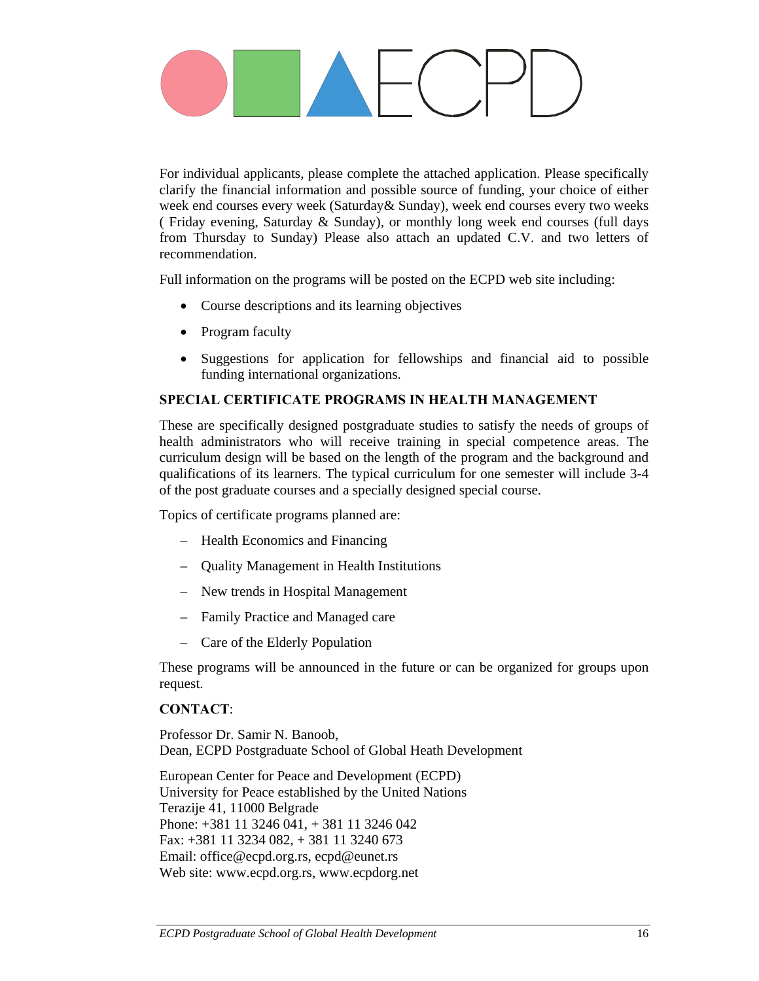For individual applicants, please complete the attached application. Please specifically clarify the financial information and possible source of funding, your choice of either week end courses every week (Saturday& Sunday), week end courses every two weeks ( Friday evening, Saturday & Sunday), or monthly long week end courses (full days from Thursday to Sunday) Please also attach an updated C.V. and two letters of recommendation.

Full information on the programs will be posted on the ECPD web site including:

- Course descriptions and its learning objectives
- Program faculty
- Suggestions for application for fellowships and financial aid to possible funding international organizations.

### **SPECIAL CERTIFICATE PROGRAMS IN HEALTH MANAGEMENT**

These are specifically designed postgraduate studies to satisfy the needs of groups of health administrators who will receive training in special competence areas. The curriculum design will be based on the length of the program and the background and qualifications of its learners. The typical curriculum for one semester will include 3-4 of the post graduate courses and a specially designed special course.

Topics of certificate programs planned are:

- Health Economics and Financing
- Quality Management in Health Institutions
- New trends in Hospital Management
- Family Practice and Managed care
- Care of the Elderly Population

These programs will be announced in the future or can be organized for groups upon request.

#### **CONTACT**:

Professor Dr. Samir N. Banoob, Dean, ECPD Postgraduate School of Global Heath Development

European Center for Peace and Development (ECPD) University for Peace established by the United Nations Terazije 41, 11000 Belgrade Phone: +381 11 3246 041, + 381 11 3246 042 Fax: +381 11 3234 082, + 381 11 3240 673 Email: office@ecpd.org.rs, ecpd@eunet.rs Web site: www.ecpd.org.rs, www.ecpdorg.net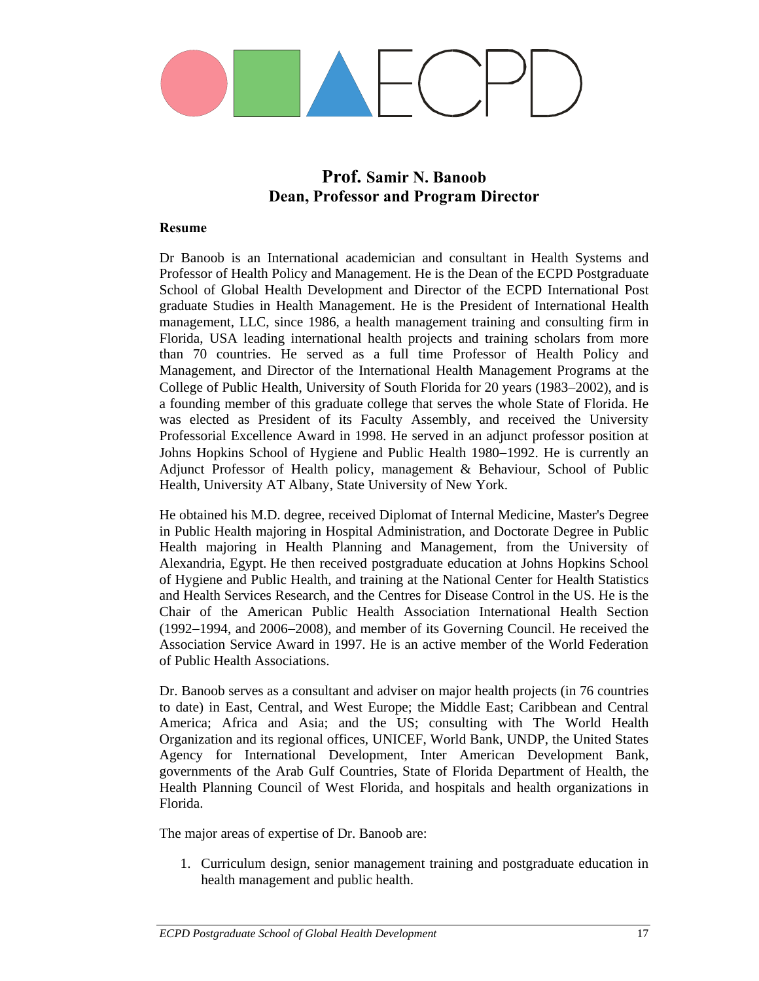

### **Prof. Samir N. Banoob Dean, Professor and Program Director**

#### **Resume**

Dr Banoob is an International academician and consultant in Health Systems and Professor of Health Policy and Management. He is the Dean of the ECPD Postgraduate School of Global Health Development and Director of the ECPD International Post graduate Studies in Health Management. He is the President of International Health management, LLC, since 1986, a health management training and consulting firm in Florida, USA leading international health projects and training scholars from more than 70 countries. He served as a full time Professor of Health Policy and Management, and Director of the International Health Management Programs at the College of Public Health, University of South Florida for 20 years (1983−2002), and is a founding member of this graduate college that serves the whole State of Florida. He was elected as President of its Faculty Assembly, and received the University Professorial Excellence Award in 1998. He served in an adjunct professor position at Johns Hopkins School of Hygiene and Public Health 1980−1992. He is currently an Adjunct Professor of Health policy, management & Behaviour, School of Public Health, University AT Albany, State University of New York.

He obtained his M.D. degree, received Diplomat of Internal Medicine, Master's Degree in Public Health majoring in Hospital Administration, and Doctorate Degree in Public Health majoring in Health Planning and Management, from the University of Alexandria, Egypt. He then received postgraduate education at Johns Hopkins School of Hygiene and Public Health, and training at the National Center for Health Statistics and Health Services Research, and the Centres for Disease Control in the US. He is the Chair of the American Public Health Association International Health Section (1992−1994, and 2006−2008), and member of its Governing Council. He received the Association Service Award in 1997. He is an active member of the World Federation of Public Health Associations.

Dr. Banoob serves as a consultant and adviser on major health projects (in 76 countries to date) in East, Central, and West Europe; the Middle East; Caribbean and Central America; Africa and Asia; and the US; consulting with The World Health Organization and its regional offices, UNICEF, World Bank, UNDP, the United States Agency for International Development, Inter American Development Bank, governments of the Arab Gulf Countries, State of Florida Department of Health, the Health Planning Council of West Florida, and hospitals and health organizations in Florida.

The major areas of expertise of Dr. Banoob are:

1. Curriculum design, senior management training and postgraduate education in health management and public health.